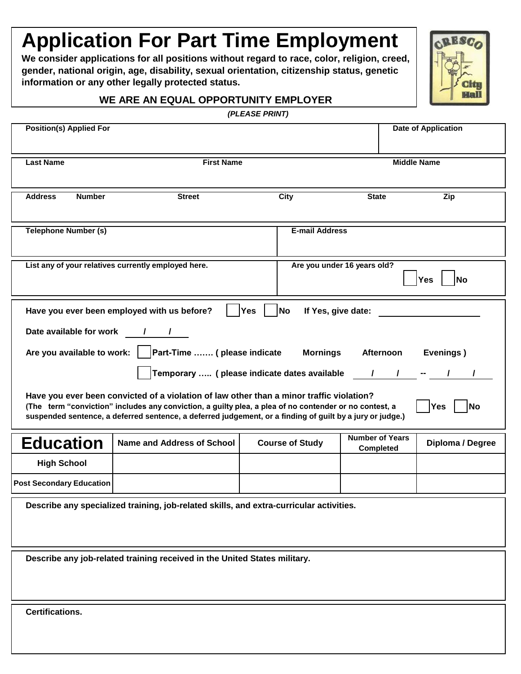# **Application For Part Time Employment**

**We consider applications for all positions without regard to race, color, religion, creed, gender, national origin, age, disability, sexual orientation, citizenship status, genetic information or any other legally protected status.**



#### **WE ARE AN EQUAL OPPORTUNITY EMPLOYER**

|  | (PLEASE PRINT) |
|--|----------------|
|  |                |

| ,, ______ , , ,,,,,,                                                                                                                                                                                                                                                                                                                                                                                                                                                                                                                                                                                                                                                                                                                                  |                                                     |                       |                             |                            |  |
|-------------------------------------------------------------------------------------------------------------------------------------------------------------------------------------------------------------------------------------------------------------------------------------------------------------------------------------------------------------------------------------------------------------------------------------------------------------------------------------------------------------------------------------------------------------------------------------------------------------------------------------------------------------------------------------------------------------------------------------------------------|-----------------------------------------------------|-----------------------|-----------------------------|----------------------------|--|
| <b>Position(s) Applied For</b>                                                                                                                                                                                                                                                                                                                                                                                                                                                                                                                                                                                                                                                                                                                        |                                                     |                       |                             | <b>Date of Application</b> |  |
| <b>Last Name</b>                                                                                                                                                                                                                                                                                                                                                                                                                                                                                                                                                                                                                                                                                                                                      | <b>First Name</b>                                   |                       |                             | <b>Middle Name</b>         |  |
|                                                                                                                                                                                                                                                                                                                                                                                                                                                                                                                                                                                                                                                                                                                                                       |                                                     |                       |                             |                            |  |
| <b>Address</b><br><b>Number</b>                                                                                                                                                                                                                                                                                                                                                                                                                                                                                                                                                                                                                                                                                                                       | <b>Street</b>                                       | <b>City</b>           | <b>State</b>                | Zip                        |  |
| <b>Telephone Number (s)</b>                                                                                                                                                                                                                                                                                                                                                                                                                                                                                                                                                                                                                                                                                                                           |                                                     | <b>E-mail Address</b> |                             |                            |  |
|                                                                                                                                                                                                                                                                                                                                                                                                                                                                                                                                                                                                                                                                                                                                                       | List any of your relatives currently employed here. |                       | Are you under 16 years old? | <b>Yes</b><br><b>No</b>    |  |
| <b>No</b><br>Have you ever been employed with us before?<br><b>Yes</b><br>If Yes, give date:<br><b>Mornings</b><br>Afternoon<br>Evenings)<br>Temporary  (please indicate dates available / / / -<br>Have you ever been convicted of a violation of law other than a minor traffic violation?<br>(The term "conviction" includes any conviction, a guilty plea, a plea of no contender or no contest, a<br>Yes<br><b>No</b><br>suspended sentence, a deferred sentence, a deferred judgement, or a finding of guilt by a jury or judge.)<br><b>Number of Years</b><br><b>Education</b><br><b>Name and Address of School</b><br>Diploma / Degree<br><b>Course of Study</b><br><b>Completed</b><br><b>High School</b><br><b>Post Secondary Education</b> |                                                     |                       |                             |                            |  |
| Describe any specialized training, job-related skills, and extra-curricular activities.                                                                                                                                                                                                                                                                                                                                                                                                                                                                                                                                                                                                                                                               |                                                     |                       |                             |                            |  |
| Describe any job-related training received in the United States military.                                                                                                                                                                                                                                                                                                                                                                                                                                                                                                                                                                                                                                                                             |                                                     |                       |                             |                            |  |
| <b>Certifications.</b>                                                                                                                                                                                                                                                                                                                                                                                                                                                                                                                                                                                                                                                                                                                                |                                                     |                       |                             |                            |  |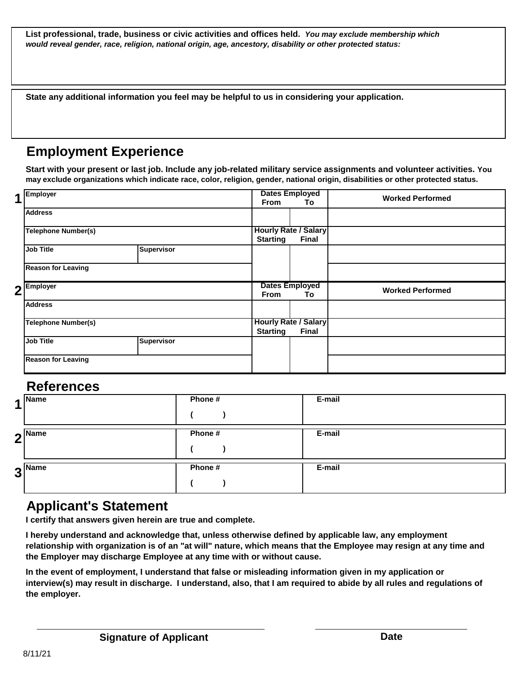**List professional, trade, business or civic activities and offices held.** *You may exclude membership which would reveal gender, race, religion, national origin, age, ancestory, disability or other protected status:*

**State any additional information you feel may be helpful to us in considering your application.**

## **Employment Experience**

**Start with your present or last job. Include any job-related military service assignments and volunteer activities. You may exclude organizations which indicate race, color, religion, gender, national origin, disabilities or other protected status.**

| 1 | Employer                   |                   | <b>Dates Employed</b>       |                                             | <b>Worked Performed</b> |
|---|----------------------------|-------------------|-----------------------------|---------------------------------------------|-------------------------|
|   |                            |                   | <b>From</b>                 | To                                          |                         |
|   | <b>Address</b>             |                   |                             |                                             |                         |
|   | Telephone Number(s)        |                   | <b>Hourly Rate / Salary</b> |                                             |                         |
|   |                            |                   | <b>Starting</b>             | <b>Final</b>                                |                         |
|   | <b>Job Title</b>           | <b>Supervisor</b> |                             |                                             |                         |
|   | <b>Reason for Leaving</b>  |                   |                             |                                             |                         |
|   | $2$ <sup>Employer</sup>    |                   | <b>From</b>                 | <b>Dates Employed</b><br>To                 | <b>Worked Performed</b> |
|   | <b>Address</b>             |                   |                             |                                             |                         |
|   |                            |                   |                             |                                             |                         |
|   | <b>Telephone Number(s)</b> |                   | <b>Starting</b>             | <b>Hourly Rate / Salary</b><br><b>Final</b> |                         |
|   | Job Title                  | <b>Supervisor</b> |                             |                                             |                         |

### **References**

| $\blacktriangleleft$ | Name                       | Phone # | E-mail |
|----------------------|----------------------------|---------|--------|
|                      | $2^{\vert$ <sup>Name</sup> | Phone # | E-mail |
|                      | $3^{\text{Name}}$          | Phone # | E-mail |

### **Applicant's Statement**

**I certify that answers given herein are true and complete.**

**I hereby understand and acknowledge that, unless otherwise defined by applicable law, any employment relationship with organization is of an "at will" nature, which means that the Employee may resign at any time and the Employer may discharge Employee at any time with or without cause.**

**In the event of employment, I understand that false or misleading information given in my application or interview(s) may result in discharge. I understand, also, that I am required to abide by all rules and regulations of the employer.**